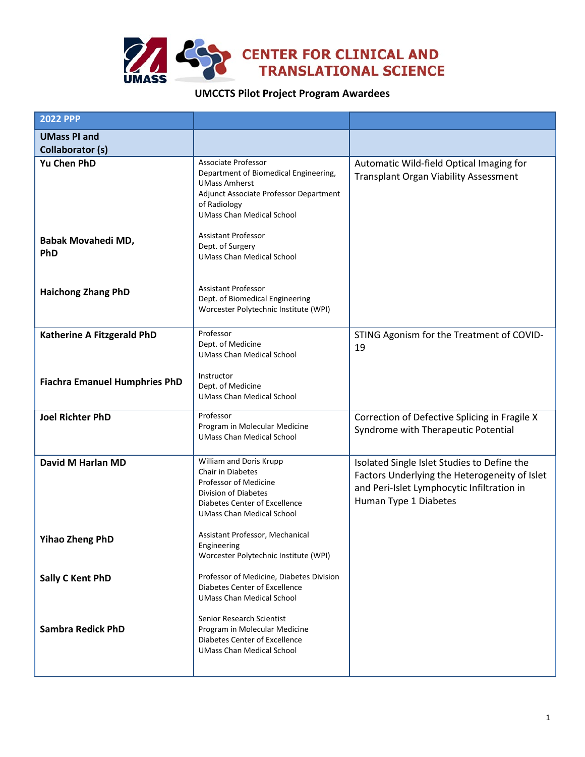

## **UMCCTS Pilot Project Program Awardees**

| <b>2022 PPP</b>                         |                                                                                                                                                                                    |                                                                                                                                                                     |
|-----------------------------------------|------------------------------------------------------------------------------------------------------------------------------------------------------------------------------------|---------------------------------------------------------------------------------------------------------------------------------------------------------------------|
| <b>UMass PI and</b><br>Collaborator (s) |                                                                                                                                                                                    |                                                                                                                                                                     |
| <b>Yu Chen PhD</b>                      | Associate Professor<br>Department of Biomedical Engineering,<br><b>UMass Amherst</b><br>Adjunct Associate Professor Department<br>of Radiology<br><b>UMass Chan Medical School</b> | Automatic Wild-field Optical Imaging for<br><b>Transplant Organ Viability Assessment</b>                                                                            |
| Babak Movahedi MD,<br><b>PhD</b>        | <b>Assistant Professor</b><br>Dept. of Surgery<br><b>UMass Chan Medical School</b>                                                                                                 |                                                                                                                                                                     |
| <b>Haichong Zhang PhD</b>               | <b>Assistant Professor</b><br>Dept. of Biomedical Engineering<br>Worcester Polytechnic Institute (WPI)                                                                             |                                                                                                                                                                     |
| Katherine A Fitzgerald PhD              | Professor<br>Dept. of Medicine<br><b>UMass Chan Medical School</b>                                                                                                                 | STING Agonism for the Treatment of COVID-<br>19                                                                                                                     |
| <b>Fiachra Emanuel Humphries PhD</b>    | Instructor<br>Dept. of Medicine<br><b>UMass Chan Medical School</b>                                                                                                                |                                                                                                                                                                     |
| <b>Joel Richter PhD</b>                 | Professor<br>Program in Molecular Medicine<br><b>UMass Chan Medical School</b>                                                                                                     | Correction of Defective Splicing in Fragile X<br>Syndrome with Therapeutic Potential                                                                                |
| David M Harlan MD                       | William and Doris Krupp<br>Chair in Diabetes<br>Professor of Medicine<br>Division of Diabetes<br>Diabetes Center of Excellence<br><b>UMass Chan Medical School</b>                 | Isolated Single Islet Studies to Define the<br>Factors Underlying the Heterogeneity of Islet<br>and Peri-Islet Lymphocytic Infiltration in<br>Human Type 1 Diabetes |
| <b>Yihao Zheng PhD</b>                  | Assistant Professor, Mechanical<br>Engineering<br>Worcester Polytechnic Institute (WPI)                                                                                            |                                                                                                                                                                     |
| <b>Sally C Kent PhD</b>                 | Professor of Medicine, Diabetes Division<br>Diabetes Center of Excellence<br><b>UMass Chan Medical School</b>                                                                      |                                                                                                                                                                     |
| <b>Sambra Redick PhD</b>                | Senior Research Scientist<br>Program in Molecular Medicine<br>Diabetes Center of Excellence<br><b>UMass Chan Medical School</b>                                                    |                                                                                                                                                                     |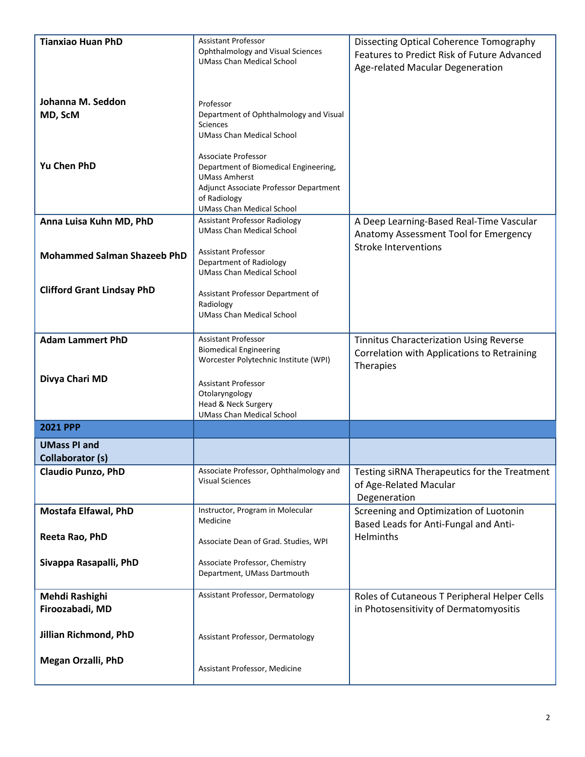| <b>Tianxiao Huan PhD</b>                       | <b>Assistant Professor</b>                                               | <b>Dissecting Optical Coherence Tomography</b>                       |
|------------------------------------------------|--------------------------------------------------------------------------|----------------------------------------------------------------------|
|                                                | Ophthalmology and Visual Sciences<br><b>UMass Chan Medical School</b>    | Features to Predict Risk of Future Advanced                          |
|                                                |                                                                          | Age-related Macular Degeneration                                     |
|                                                |                                                                          |                                                                      |
| Johanna M. Seddon                              | Professor<br>Department of Ophthalmology and Visual                      |                                                                      |
| MD, ScM                                        | <b>Sciences</b>                                                          |                                                                      |
|                                                | <b>UMass Chan Medical School</b>                                         |                                                                      |
|                                                | Associate Professor                                                      |                                                                      |
| <b>Yu Chen PhD</b>                             | Department of Biomedical Engineering,                                    |                                                                      |
|                                                | <b>UMass Amherst</b><br>Adjunct Associate Professor Department           |                                                                      |
|                                                | of Radiology                                                             |                                                                      |
|                                                | <b>UMass Chan Medical School</b>                                         |                                                                      |
| Anna Luisa Kuhn MD, PhD                        | <b>Assistant Professor Radiology</b><br><b>UMass Chan Medical School</b> | A Deep Learning-Based Real-Time Vascular                             |
|                                                |                                                                          | Anatomy Assessment Tool for Emergency<br><b>Stroke Interventions</b> |
| <b>Mohammed Salman Shazeeb PhD</b>             | <b>Assistant Professor</b>                                               |                                                                      |
|                                                | Department of Radiology<br><b>UMass Chan Medical School</b>              |                                                                      |
| <b>Clifford Grant Lindsay PhD</b>              |                                                                          |                                                                      |
|                                                | Assistant Professor Department of<br>Radiology                           |                                                                      |
|                                                | <b>UMass Chan Medical School</b>                                         |                                                                      |
|                                                |                                                                          |                                                                      |
| <b>Adam Lammert PhD</b>                        | <b>Assistant Professor</b><br><b>Biomedical Engineering</b>              | <b>Tinnitus Characterization Using Reverse</b>                       |
|                                                | Worcester Polytechnic Institute (WPI)                                    | Correlation with Applications to Retraining                          |
| Divya Chari MD                                 |                                                                          | Therapies                                                            |
|                                                | <b>Assistant Professor</b><br>Otolaryngology                             |                                                                      |
|                                                | Head & Neck Surgery                                                      |                                                                      |
|                                                | <b>UMass Chan Medical School</b>                                         |                                                                      |
| <b>2021 PPP</b>                                |                                                                          |                                                                      |
| <b>UMass PI and</b><br><b>Collaborator (s)</b> |                                                                          |                                                                      |
| <b>Claudio Punzo, PhD</b>                      | Associate Professor, Ophthalmology and                                   | Testing siRNA Therapeutics for the Treatment                         |
|                                                | <b>Visual Sciences</b>                                                   | of Age-Related Macular                                               |
|                                                |                                                                          | Degeneration                                                         |
| <b>Mostafa Elfawal, PhD</b>                    | Instructor, Program in Molecular                                         | Screening and Optimization of Luotonin                               |
|                                                | Medicine                                                                 | Based Leads for Anti-Fungal and Anti-                                |
| Reeta Rao, PhD                                 | Associate Dean of Grad. Studies, WPI                                     | Helminths                                                            |
| Sivappa Rasapalli, PhD                         | Associate Professor, Chemistry                                           |                                                                      |
|                                                | Department, UMass Dartmouth                                              |                                                                      |
|                                                |                                                                          |                                                                      |
| Mehdi Rashighi<br>Firoozabadi, MD              | Assistant Professor, Dermatology                                         | Roles of Cutaneous T Peripheral Helper Cells                         |
|                                                |                                                                          | in Photosensitivity of Dermatomyositis                               |
| Jillian Richmond, PhD                          | Assistant Professor, Dermatology                                         |                                                                      |
|                                                |                                                                          |                                                                      |
| <b>Megan Orzalli, PhD</b>                      |                                                                          |                                                                      |
|                                                | Assistant Professor, Medicine                                            |                                                                      |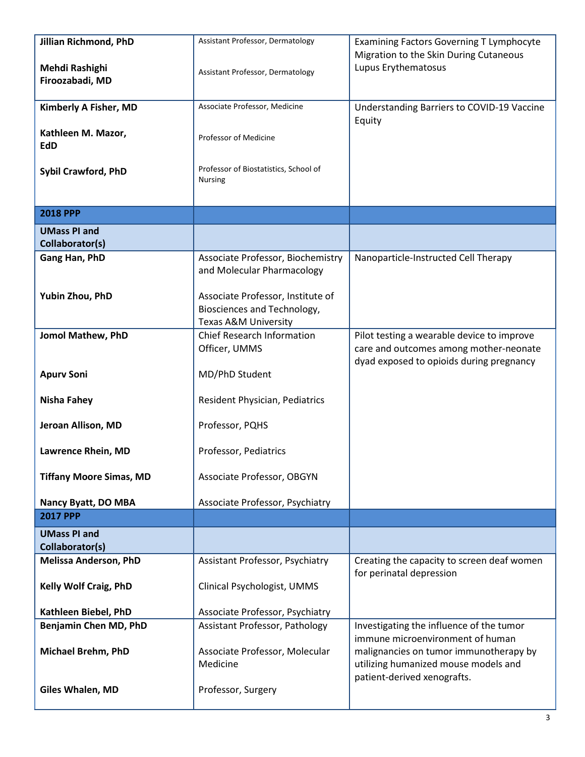| Jillian Richmond, PhD                  | Assistant Professor, Dermatology                                     | <b>Examining Factors Governing T Lymphocyte</b>                                      |
|----------------------------------------|----------------------------------------------------------------------|--------------------------------------------------------------------------------------|
| Mehdi Rashighi                         |                                                                      | Migration to the Skin During Cutaneous<br>Lupus Erythematosus                        |
| Firoozabadi, MD                        | Assistant Professor, Dermatology                                     |                                                                                      |
|                                        | Associate Professor, Medicine                                        |                                                                                      |
| Kimberly A Fisher, MD                  |                                                                      | Understanding Barriers to COVID-19 Vaccine<br>Equity                                 |
| Kathleen M. Mazor,                     | Professor of Medicine                                                |                                                                                      |
| EdD                                    |                                                                      |                                                                                      |
| <b>Sybil Crawford, PhD</b>             | Professor of Biostatistics, School of                                |                                                                                      |
|                                        | <b>Nursing</b>                                                       |                                                                                      |
|                                        |                                                                      |                                                                                      |
| <b>2018 PPP</b>                        |                                                                      |                                                                                      |
| <b>UMass PI and</b><br>Collaborator(s) |                                                                      |                                                                                      |
| Gang Han, PhD                          | Associate Professor, Biochemistry                                    | Nanoparticle-Instructed Cell Therapy                                                 |
|                                        | and Molecular Pharmacology                                           |                                                                                      |
|                                        |                                                                      |                                                                                      |
| Yubin Zhou, PhD                        | Associate Professor, Institute of                                    |                                                                                      |
|                                        | Biosciences and Technology,                                          |                                                                                      |
|                                        | <b>Texas A&amp;M University</b><br><b>Chief Research Information</b> |                                                                                      |
| Jomol Mathew, PhD                      | Officer, UMMS                                                        | Pilot testing a wearable device to improve<br>care and outcomes among mother-neonate |
|                                        |                                                                      | dyad exposed to opioids during pregnancy                                             |
| <b>Apurv Soni</b>                      | MD/PhD Student                                                       |                                                                                      |
| <b>Nisha Fahey</b>                     | Resident Physician, Pediatrics                                       |                                                                                      |
|                                        |                                                                      |                                                                                      |
| Jeroan Allison, MD                     | Professor, PQHS                                                      |                                                                                      |
| Lawrence Rhein, MD                     | Professor, Pediatrics                                                |                                                                                      |
|                                        |                                                                      |                                                                                      |
| <b>Tiffany Moore Simas, MD</b>         | Associate Professor, OBGYN                                           |                                                                                      |
| Nancy Byatt, DO MBA                    | Associate Professor, Psychiatry                                      |                                                                                      |
| <b>2017 PPP</b>                        |                                                                      |                                                                                      |
| <b>UMass PI and</b>                    |                                                                      |                                                                                      |
| Collaborator(s)                        |                                                                      |                                                                                      |
| <b>Melissa Anderson, PhD</b>           | Assistant Professor, Psychiatry                                      | Creating the capacity to screen deaf women                                           |
| <b>Kelly Wolf Craig, PhD</b>           | Clinical Psychologist, UMMS                                          | for perinatal depression                                                             |
|                                        |                                                                      |                                                                                      |
| Kathleen Biebel, PhD                   | Associate Professor, Psychiatry                                      |                                                                                      |
| Benjamin Chen MD, PhD                  | Assistant Professor, Pathology                                       | Investigating the influence of the tumor                                             |
|                                        |                                                                      | immune microenvironment of human                                                     |
| <b>Michael Brehm, PhD</b>              | Associate Professor, Molecular                                       | malignancies on tumor immunotherapy by                                               |
|                                        | Medicine                                                             | utilizing humanized mouse models and<br>patient-derived xenografts.                  |
| <b>Giles Whalen, MD</b>                | Professor, Surgery                                                   |                                                                                      |
|                                        |                                                                      |                                                                                      |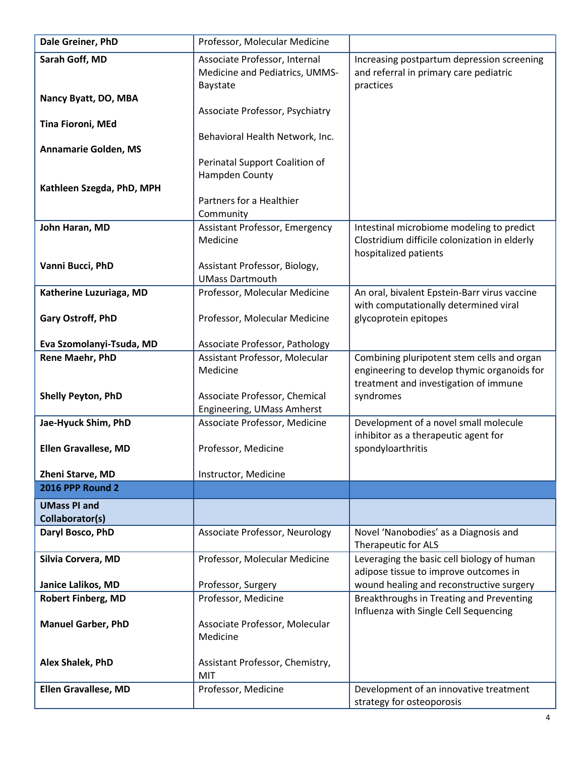| Dale Greiner, PhD                           | Professor, Molecular Medicine                           |                                                                                           |
|---------------------------------------------|---------------------------------------------------------|-------------------------------------------------------------------------------------------|
| Sarah Goff, MD                              | Associate Professor, Internal                           | Increasing postpartum depression screening                                                |
|                                             | Medicine and Pediatrics, UMMS-                          | and referral in primary care pediatric<br>practices                                       |
| Nancy Byatt, DO, MBA                        | Baystate                                                |                                                                                           |
|                                             | Associate Professor, Psychiatry                         |                                                                                           |
| Tina Fioroni, MEd                           |                                                         |                                                                                           |
|                                             | Behavioral Health Network, Inc.                         |                                                                                           |
| <b>Annamarie Golden, MS</b>                 | Perinatal Support Coalition of                          |                                                                                           |
|                                             | Hampden County                                          |                                                                                           |
| Kathleen Szegda, PhD, MPH                   |                                                         |                                                                                           |
|                                             | Partners for a Healthier                                |                                                                                           |
| John Haran, MD                              | Community<br>Assistant Professor, Emergency             | Intestinal microbiome modeling to predict                                                 |
|                                             | Medicine                                                | Clostridium difficile colonization in elderly                                             |
|                                             |                                                         | hospitalized patients                                                                     |
| Vanni Bucci, PhD                            | Assistant Professor, Biology,                           |                                                                                           |
| Katherine Luzuriaga, MD                     | <b>UMass Dartmouth</b><br>Professor, Molecular Medicine | An oral, bivalent Epstein-Barr virus vaccine                                              |
|                                             |                                                         | with computationally determined viral                                                     |
| Gary Ostroff, PhD                           | Professor, Molecular Medicine                           | glycoprotein epitopes                                                                     |
|                                             |                                                         |                                                                                           |
| Eva Szomolanyi-Tsuda, MD                    | Associate Professor, Pathology                          |                                                                                           |
| Rene Maehr, PhD                             | Assistant Professor, Molecular<br>Medicine              | Combining pluripotent stem cells and organ<br>engineering to develop thymic organoids for |
|                                             |                                                         | treatment and investigation of immune                                                     |
| Shelly Peyton, PhD                          | Associate Professor, Chemical                           | syndromes                                                                                 |
|                                             | Engineering, UMass Amherst                              |                                                                                           |
| Jae-Hyuck Shim, PhD                         | Associate Professor, Medicine                           | Development of a novel small molecule<br>inhibitor as a therapeutic agent for             |
| <b>Ellen Gravallese, MD</b>                 | Professor, Medicine                                     | spondyloarthritis                                                                         |
|                                             |                                                         |                                                                                           |
| Zheni Starve, MD<br><b>2016 PPP Round 2</b> | Instructor, Medicine                                    |                                                                                           |
|                                             |                                                         |                                                                                           |
| <b>UMass PI and</b><br>Collaborator(s)      |                                                         |                                                                                           |
| Daryl Bosco, PhD                            | Associate Professor, Neurology                          | Novel 'Nanobodies' as a Diagnosis and                                                     |
|                                             |                                                         | Therapeutic for ALS                                                                       |
| Silvia Corvera, MD                          | Professor, Molecular Medicine                           | Leveraging the basic cell biology of human                                                |
| Janice Lalikos, MD                          | Professor, Surgery                                      | adipose tissue to improve outcomes in<br>wound healing and reconstructive surgery         |
| <b>Robert Finberg, MD</b>                   | Professor, Medicine                                     | Breakthroughs in Treating and Preventing                                                  |
|                                             |                                                         | Influenza with Single Cell Sequencing                                                     |
| <b>Manuel Garber, PhD</b>                   | Associate Professor, Molecular                          |                                                                                           |
|                                             | Medicine                                                |                                                                                           |
| Alex Shalek, PhD                            | Assistant Professor, Chemistry,                         |                                                                                           |
|                                             | MIT                                                     |                                                                                           |
| <b>Ellen Gravallese, MD</b>                 | Professor, Medicine                                     | Development of an innovative treatment                                                    |
|                                             |                                                         | strategy for osteoporosis                                                                 |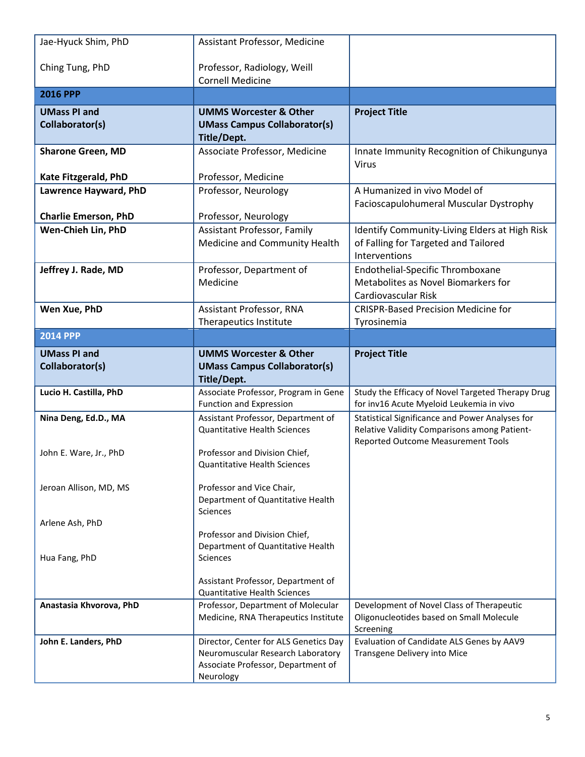| Jae-Hyuck Shim, PhD                            | Assistant Professor, Medicine                                                                                                 |                                                                                                                                              |
|------------------------------------------------|-------------------------------------------------------------------------------------------------------------------------------|----------------------------------------------------------------------------------------------------------------------------------------------|
| Ching Tung, PhD                                | Professor, Radiology, Weill<br><b>Cornell Medicine</b>                                                                        |                                                                                                                                              |
| <b>2016 PPP</b>                                |                                                                                                                               |                                                                                                                                              |
| <b>UMass PI and</b><br>Collaborator(s)         | <b>UMMS Worcester &amp; Other</b><br><b>UMass Campus Collaborator(s)</b><br>Title/Dept.                                       | <b>Project Title</b>                                                                                                                         |
| <b>Sharone Green, MD</b>                       | Associate Professor, Medicine                                                                                                 | Innate Immunity Recognition of Chikungunya<br><b>Virus</b>                                                                                   |
| Kate Fitzgerald, PhD                           | Professor, Medicine                                                                                                           |                                                                                                                                              |
| Lawrence Hayward, PhD                          | Professor, Neurology                                                                                                          | A Humanized in vivo Model of<br>Facioscapulohumeral Muscular Dystrophy                                                                       |
| <b>Charlie Emerson, PhD</b>                    | Professor, Neurology                                                                                                          |                                                                                                                                              |
| Wen-Chieh Lin, PhD                             | <b>Assistant Professor, Family</b><br>Medicine and Community Health                                                           | Identify Community-Living Elders at High Risk<br>of Falling for Targeted and Tailored<br>Interventions                                       |
| Jeffrey J. Rade, MD                            | Professor, Department of<br>Medicine                                                                                          | Endothelial-Specific Thromboxane<br>Metabolites as Novel Biomarkers for<br>Cardiovascular Risk                                               |
| Wen Xue, PhD                                   | Assistant Professor, RNA                                                                                                      | <b>CRISPR-Based Precision Medicine for</b>                                                                                                   |
|                                                | Therapeutics Institute                                                                                                        | Tyrosinemia                                                                                                                                  |
| <b>2014 PPP</b>                                |                                                                                                                               |                                                                                                                                              |
| <b>UMass PI and</b>                            | <b>UMMS Worcester &amp; Other</b>                                                                                             | <b>Project Title</b>                                                                                                                         |
| Collaborator(s)                                | <b>UMass Campus Collaborator(s)</b><br>Title/Dept.                                                                            |                                                                                                                                              |
| Lucio H. Castilla, PhD                         | Associate Professor, Program in Gene<br>Function and Expression                                                               | Study the Efficacy of Novel Targeted Therapy Drug<br>for inv16 Acute Myeloid Leukemia in vivo                                                |
| Nina Deng, Ed.D., MA<br>John E. Ware, Jr., PhD | Assistant Professor, Department of<br><b>Quantitative Health Sciences</b><br>Professor and Division Chief,                    | Statistical Significance and Power Analyses for<br>Relative Validity Comparisons among Patient-<br><b>Reported Outcome Measurement Tools</b> |
|                                                | <b>Quantitative Health Sciences</b>                                                                                           |                                                                                                                                              |
| Jeroan Allison, MD, MS                         | Professor and Vice Chair,<br>Department of Quantitative Health<br>Sciences                                                    |                                                                                                                                              |
| Arlene Ash, PhD                                | Professor and Division Chief,                                                                                                 |                                                                                                                                              |
| Hua Fang, PhD                                  | Department of Quantitative Health<br>Sciences                                                                                 |                                                                                                                                              |
|                                                | Assistant Professor, Department of<br><b>Quantitative Health Sciences</b>                                                     |                                                                                                                                              |
| Anastasia Khvorova, PhD                        | Professor, Department of Molecular<br>Medicine, RNA Therapeutics Institute                                                    | Development of Novel Class of Therapeutic<br>Oligonucleotides based on Small Molecule<br>Screening                                           |
| John E. Landers, PhD                           | Director, Center for ALS Genetics Day<br>Neuromuscular Research Laboratory<br>Associate Professor, Department of<br>Neurology | Evaluation of Candidate ALS Genes by AAV9<br>Transgene Delivery into Mice                                                                    |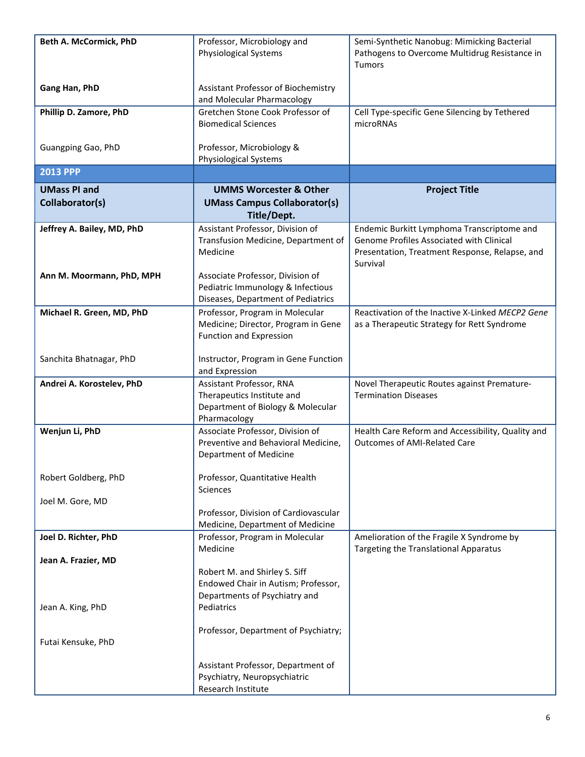| Beth A. McCormick, PhD                   | Professor, Microbiology and<br><b>Physiological Systems</b>                                                         | Semi-Synthetic Nanobug: Mimicking Bacterial<br>Pathogens to Overcome Multidrug Resistance in<br><b>Tumors</b>                                        |
|------------------------------------------|---------------------------------------------------------------------------------------------------------------------|------------------------------------------------------------------------------------------------------------------------------------------------------|
| Gang Han, PhD                            | Assistant Professor of Biochemistry<br>and Molecular Pharmacology                                                   |                                                                                                                                                      |
| Phillip D. Zamore, PhD                   | Gretchen Stone Cook Professor of<br><b>Biomedical Sciences</b>                                                      | Cell Type-specific Gene Silencing by Tethered<br>microRNAs                                                                                           |
| Guangping Gao, PhD                       | Professor, Microbiology &<br>Physiological Systems                                                                  |                                                                                                                                                      |
| <b>2013 PPP</b>                          |                                                                                                                     |                                                                                                                                                      |
| <b>UMass PI and</b><br>Collaborator(s)   | <b>UMMS Worcester &amp; Other</b><br><b>UMass Campus Collaborator(s)</b><br>Title/Dept.                             | <b>Project Title</b>                                                                                                                                 |
| Jeffrey A. Bailey, MD, PhD               | Assistant Professor, Division of<br>Transfusion Medicine, Department of<br>Medicine                                 | Endemic Burkitt Lymphoma Transcriptome and<br>Genome Profiles Associated with Clinical<br>Presentation, Treatment Response, Relapse, and<br>Survival |
| Ann M. Moormann, PhD, MPH                | Associate Professor, Division of<br>Pediatric Immunology & Infectious<br>Diseases, Department of Pediatrics         |                                                                                                                                                      |
| Michael R. Green, MD, PhD                | Professor, Program in Molecular<br>Medicine; Director, Program in Gene<br><b>Function and Expression</b>            | Reactivation of the Inactive X-Linked MECP2 Gene<br>as a Therapeutic Strategy for Rett Syndrome                                                      |
| Sanchita Bhatnagar, PhD                  | Instructor, Program in Gene Function<br>and Expression                                                              |                                                                                                                                                      |
| Andrei A. Korostelev, PhD                | Assistant Professor, RNA<br>Therapeutics Institute and<br>Department of Biology & Molecular<br>Pharmacology         | Novel Therapeutic Routes against Premature-<br><b>Termination Diseases</b>                                                                           |
| Wenjun Li, PhD                           | Associate Professor, Division of<br>Preventive and Behavioral Medicine,<br><b>Department of Medicine</b>            | Health Care Reform and Accessibility, Quality and<br><b>Outcomes of AMI-Related Care</b>                                                             |
| Robert Goldberg, PhD                     | Professor, Quantitative Health<br>Sciences                                                                          |                                                                                                                                                      |
| Joel M. Gore, MD                         | Professor, Division of Cardiovascular<br>Medicine, Department of Medicine                                           |                                                                                                                                                      |
| Joel D. Richter, PhD                     | Professor, Program in Molecular<br>Medicine                                                                         | Amelioration of the Fragile X Syndrome by<br>Targeting the Translational Apparatus                                                                   |
| Jean A. Frazier, MD<br>Jean A. King, PhD | Robert M. and Shirley S. Siff<br>Endowed Chair in Autism; Professor,<br>Departments of Psychiatry and<br>Pediatrics |                                                                                                                                                      |
| Futai Kensuke, PhD                       | Professor, Department of Psychiatry;                                                                                |                                                                                                                                                      |
|                                          | Assistant Professor, Department of<br>Psychiatry, Neuropsychiatric<br>Research Institute                            |                                                                                                                                                      |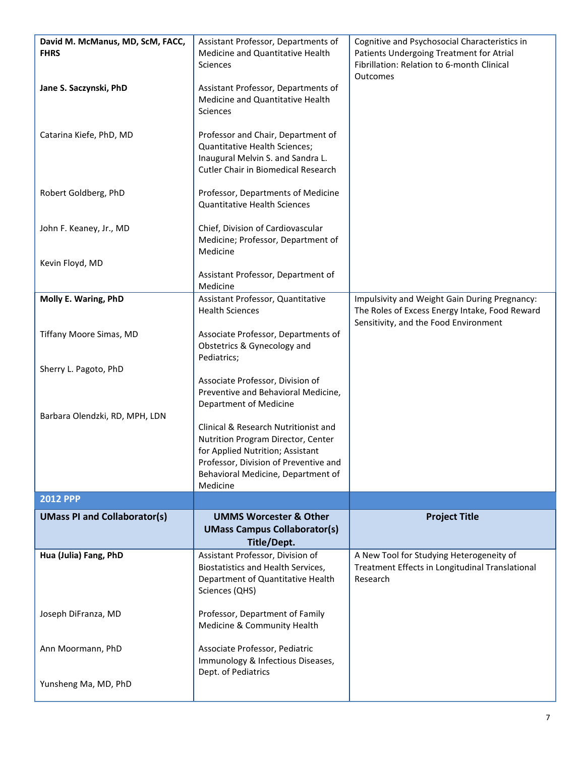| David M. McManus, MD, ScM, FACC,<br><b>FHRS</b> | Assistant Professor, Departments of<br>Medicine and Quantitative Health                                                                                | Cognitive and Psychosocial Characteristics in<br>Patients Undergoing Treatment for Atrial                                                |
|-------------------------------------------------|--------------------------------------------------------------------------------------------------------------------------------------------------------|------------------------------------------------------------------------------------------------------------------------------------------|
|                                                 | Sciences                                                                                                                                               | Fibrillation: Relation to 6-month Clinical<br>Outcomes                                                                                   |
| Jane S. Saczynski, PhD                          | Assistant Professor, Departments of<br>Medicine and Quantitative Health<br>Sciences                                                                    |                                                                                                                                          |
| Catarina Kiefe, PhD, MD                         | Professor and Chair, Department of<br>Quantitative Health Sciences;<br>Inaugural Melvin S. and Sandra L.<br><b>Cutler Chair in Biomedical Research</b> |                                                                                                                                          |
| Robert Goldberg, PhD                            | Professor, Departments of Medicine<br><b>Quantitative Health Sciences</b>                                                                              |                                                                                                                                          |
| John F. Keaney, Jr., MD                         | Chief, Division of Cardiovascular<br>Medicine; Professor, Department of<br>Medicine                                                                    |                                                                                                                                          |
| Kevin Floyd, MD                                 |                                                                                                                                                        |                                                                                                                                          |
|                                                 | Assistant Professor, Department of<br>Medicine                                                                                                         |                                                                                                                                          |
| Molly E. Waring, PhD                            | Assistant Professor, Quantitative<br><b>Health Sciences</b>                                                                                            | Impulsivity and Weight Gain During Pregnancy:<br>The Roles of Excess Energy Intake, Food Reward<br>Sensitivity, and the Food Environment |
| Tiffany Moore Simas, MD                         | Associate Professor, Departments of<br>Obstetrics & Gynecology and<br>Pediatrics;                                                                      |                                                                                                                                          |
| Sherry L. Pagoto, PhD                           |                                                                                                                                                        |                                                                                                                                          |
|                                                 | Associate Professor, Division of<br>Preventive and Behavioral Medicine,<br>Department of Medicine                                                      |                                                                                                                                          |
| Barbara Olendzki, RD, MPH, LDN                  | Clinical & Research Nutritionist and                                                                                                                   |                                                                                                                                          |
|                                                 | Nutrition Program Director, Center                                                                                                                     |                                                                                                                                          |
|                                                 | for Applied Nutrition; Assistant<br>Professor, Division of Preventive and                                                                              |                                                                                                                                          |
|                                                 | Behavioral Medicine, Department of<br>Medicine                                                                                                         |                                                                                                                                          |
| <b>2012 PPP</b>                                 |                                                                                                                                                        |                                                                                                                                          |
| <b>UMass PI and Collaborator(s)</b>             | <b>UMMS Worcester &amp; Other</b><br><b>UMass Campus Collaborator(s)</b><br>Title/Dept.                                                                | <b>Project Title</b>                                                                                                                     |
| Hua (Julia) Fang, PhD                           | Assistant Professor, Division of<br>Biostatistics and Health Services,<br>Department of Quantitative Health<br>Sciences (QHS)                          | A New Tool for Studying Heterogeneity of<br>Treatment Effects in Longitudinal Translational<br>Research                                  |
| Joseph DiFranza, MD                             |                                                                                                                                                        |                                                                                                                                          |
|                                                 | Professor, Department of Family<br>Medicine & Community Health                                                                                         |                                                                                                                                          |
| Ann Moormann, PhD                               | Associate Professor, Pediatric<br>Immunology & Infectious Diseases,<br>Dept. of Pediatrics                                                             |                                                                                                                                          |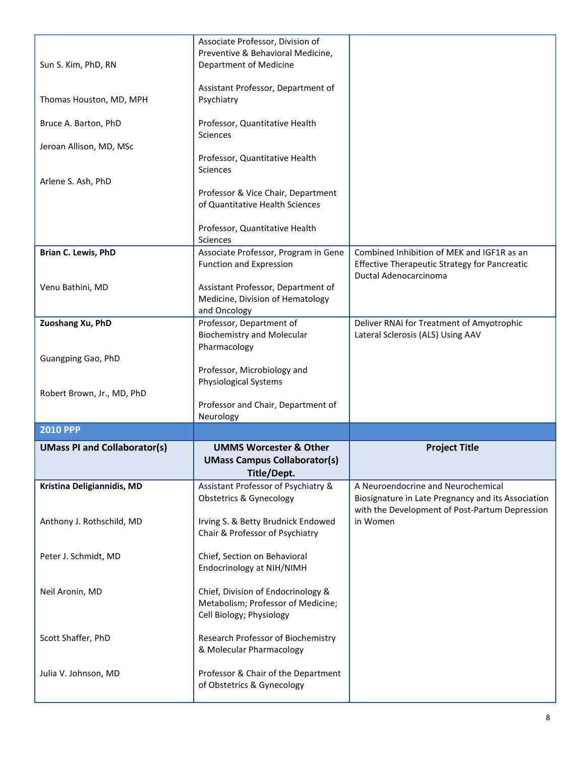| Sun S. Kim, PhD, RN                 | Associate Professor, Division of<br>Preventive & Behavioral Medicine,<br>Department of Medicine      |                                                                                                                                            |
|-------------------------------------|------------------------------------------------------------------------------------------------------|--------------------------------------------------------------------------------------------------------------------------------------------|
| Thomas Houston, MD, MPH             | Assistant Professor, Department of<br>Psychiatry                                                     |                                                                                                                                            |
| Bruce A. Barton, PhD                | Professor, Quantitative Health<br>Sciences                                                           |                                                                                                                                            |
| Jeroan Allison, MD, MSc             | Professor, Quantitative Health<br><b>Sciences</b>                                                    |                                                                                                                                            |
| Arlene S. Ash, PhD                  | Professor & Vice Chair, Department<br>of Quantitative Health Sciences                                |                                                                                                                                            |
|                                     | Professor, Quantitative Health<br>Sciences                                                           |                                                                                                                                            |
| Brian C. Lewis, PhD                 | Associate Professor, Program in Gene<br>Function and Expression                                      | Combined Inhibition of MEK and IGF1R as an<br>Effective Therapeutic Strategy for Pancreatic                                                |
| Venu Bathini, MD                    | Assistant Professor, Department of<br>Medicine, Division of Hematology<br>and Oncology               | Ductal Adenocarcinoma                                                                                                                      |
| Zuoshang Xu, PhD                    | Professor, Department of<br><b>Biochemistry and Molecular</b>                                        | Deliver RNAi for Treatment of Amyotrophic<br>Lateral Sclerosis (ALS) Using AAV                                                             |
| Guangping Gao, PhD                  | Pharmacology<br>Professor, Microbiology and<br>Physiological Systems                                 |                                                                                                                                            |
| Robert Brown, Jr., MD, PhD          | Professor and Chair, Department of<br>Neurology                                                      |                                                                                                                                            |
| <b>2010 PPP</b>                     |                                                                                                      |                                                                                                                                            |
| <b>UMass PI and Collaborator(s)</b> | <b>UMMS Worcester &amp; Other</b><br><b>UMass Campus Collaborator(s)</b><br>Title/Dept.              | <b>Project Title</b>                                                                                                                       |
| Kristina Deligiannidis, MD          | Assistant Professor of Psychiatry &<br><b>Obstetrics &amp; Gynecology</b>                            | A Neuroendocrine and Neurochemical<br>Biosignature in Late Pregnancy and its Association<br>with the Development of Post-Partum Depression |
| Anthony J. Rothschild, MD           | Irving S. & Betty Brudnick Endowed<br>Chair & Professor of Psychiatry                                | in Women                                                                                                                                   |
| Peter J. Schmidt, MD                | Chief, Section on Behavioral<br>Endocrinology at NIH/NIMH                                            |                                                                                                                                            |
| Neil Aronin, MD                     | Chief, Division of Endocrinology &<br>Metabolism; Professor of Medicine;<br>Cell Biology; Physiology |                                                                                                                                            |
| Scott Shaffer, PhD                  | Research Professor of Biochemistry<br>& Molecular Pharmacology                                       |                                                                                                                                            |
|                                     |                                                                                                      |                                                                                                                                            |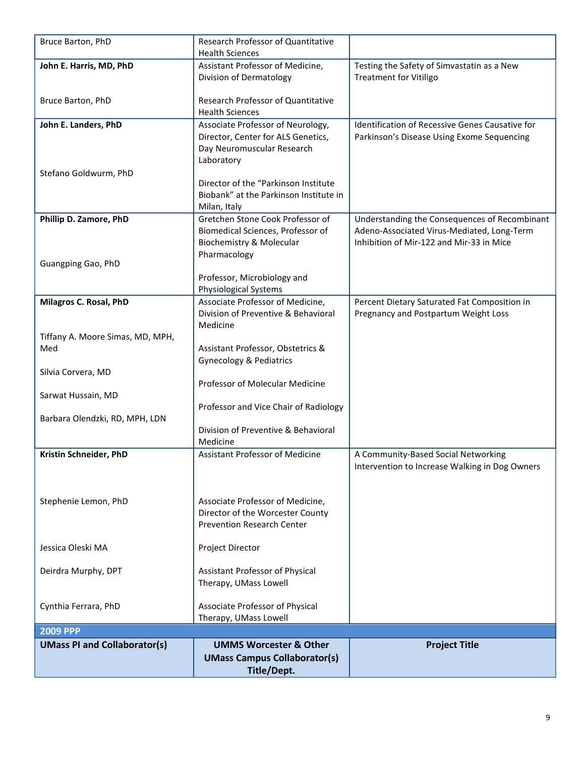| Bruce Barton, PhD                   | Research Professor of Quantitative<br><b>Health Sciences</b> |                                                                             |
|-------------------------------------|--------------------------------------------------------------|-----------------------------------------------------------------------------|
|                                     |                                                              |                                                                             |
| John E. Harris, MD, PhD             | Assistant Professor of Medicine,<br>Division of Dermatology  | Testing the Safety of Simvastatin as a New<br><b>Treatment for Vitiligo</b> |
|                                     |                                                              |                                                                             |
| Bruce Barton, PhD                   | Research Professor of Quantitative                           |                                                                             |
|                                     | <b>Health Sciences</b>                                       |                                                                             |
| John E. Landers, PhD                | Associate Professor of Neurology,                            | Identification of Recessive Genes Causative for                             |
|                                     | Director, Center for ALS Genetics,                           | Parkinson's Disease Using Exome Sequencing                                  |
|                                     | Day Neuromuscular Research                                   |                                                                             |
|                                     | Laboratory                                                   |                                                                             |
| Stefano Goldwurm, PhD               |                                                              |                                                                             |
|                                     | Director of the "Parkinson Institute                         |                                                                             |
|                                     | Biobank" at the Parkinson Institute in                       |                                                                             |
| Phillip D. Zamore, PhD              | Milan, Italy<br>Gretchen Stone Cook Professor of             | Understanding the Consequences of Recombinant                               |
|                                     | Biomedical Sciences, Professor of                            | Adeno-Associated Virus-Mediated, Long-Term                                  |
|                                     | Biochemistry & Molecular                                     | Inhibition of Mir-122 and Mir-33 in Mice                                    |
|                                     | Pharmacology                                                 |                                                                             |
| Guangping Gao, PhD                  |                                                              |                                                                             |
|                                     | Professor, Microbiology and                                  |                                                                             |
|                                     | Physiological Systems                                        |                                                                             |
| Milagros C. Rosal, PhD              | Associate Professor of Medicine,                             | Percent Dietary Saturated Fat Composition in                                |
|                                     | Division of Preventive & Behavioral                          | Pregnancy and Postpartum Weight Loss                                        |
|                                     | Medicine                                                     |                                                                             |
| Tiffany A. Moore Simas, MD, MPH,    |                                                              |                                                                             |
| Med                                 | Assistant Professor, Obstetrics &                            |                                                                             |
|                                     | <b>Gynecology &amp; Pediatrics</b>                           |                                                                             |
| Silvia Corvera, MD                  |                                                              |                                                                             |
|                                     | Professor of Molecular Medicine                              |                                                                             |
| Sarwat Hussain, MD                  |                                                              |                                                                             |
|                                     | Professor and Vice Chair of Radiology                        |                                                                             |
| Barbara Olendzki, RD, MPH, LDN      | Division of Preventive & Behavioral                          |                                                                             |
|                                     | Medicine                                                     |                                                                             |
| Kristin Schneider, PhD              | <b>Assistant Professor of Medicine</b>                       | A Community-Based Social Networking                                         |
|                                     |                                                              | Intervention to Increase Walking in Dog Owners                              |
|                                     |                                                              |                                                                             |
|                                     |                                                              |                                                                             |
| Stephenie Lemon, PhD                | Associate Professor of Medicine,                             |                                                                             |
|                                     | Director of the Worcester County                             |                                                                             |
|                                     | <b>Prevention Research Center</b>                            |                                                                             |
|                                     |                                                              |                                                                             |
| Jessica Oleski MA                   | Project Director                                             |                                                                             |
|                                     |                                                              |                                                                             |
| Deirdra Murphy, DPT                 | Assistant Professor of Physical                              |                                                                             |
|                                     | Therapy, UMass Lowell                                        |                                                                             |
|                                     |                                                              |                                                                             |
| Cynthia Ferrara, PhD                | Associate Professor of Physical<br>Therapy, UMass Lowell     |                                                                             |
| <b>2009 PPP</b>                     |                                                              |                                                                             |
|                                     |                                                              |                                                                             |
| <b>UMass PI and Collaborator(s)</b> | <b>UMMS Worcester &amp; Other</b>                            | <b>Project Title</b>                                                        |
|                                     | <b>UMass Campus Collaborator(s)</b>                          |                                                                             |
|                                     | Title/Dept.                                                  |                                                                             |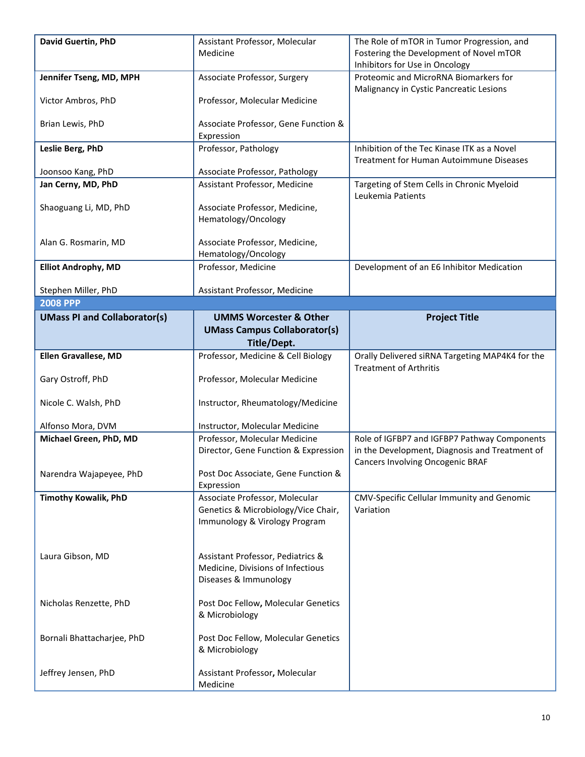| David Guertin, PhD                     | Assistant Professor, Molecular                                        | The Role of mTOR in Tumor Progression, and                                                                                         |
|----------------------------------------|-----------------------------------------------------------------------|------------------------------------------------------------------------------------------------------------------------------------|
|                                        | Medicine                                                              | Fostering the Development of Novel mTOR<br>Inhibitors for Use in Oncology                                                          |
| Jennifer Tseng, MD, MPH                | Associate Professor, Surgery                                          | Proteomic and MicroRNA Biomarkers for<br>Malignancy in Cystic Pancreatic Lesions                                                   |
| Victor Ambros, PhD                     | Professor, Molecular Medicine                                         |                                                                                                                                    |
| Brian Lewis, PhD                       | Associate Professor, Gene Function &<br>Expression                    |                                                                                                                                    |
| Leslie Berg, PhD                       | Professor, Pathology                                                  | Inhibition of the Tec Kinase ITK as a Novel<br><b>Treatment for Human Autoimmune Diseases</b>                                      |
| Joonsoo Kang, PhD                      | Associate Professor, Pathology                                        |                                                                                                                                    |
| Jan Cerny, MD, PhD                     | Assistant Professor, Medicine                                         | Targeting of Stem Cells in Chronic Myeloid<br>Leukemia Patients                                                                    |
| Shaoguang Li, MD, PhD                  | Associate Professor, Medicine,<br>Hematology/Oncology                 |                                                                                                                                    |
| Alan G. Rosmarin, MD                   | Associate Professor, Medicine,                                        |                                                                                                                                    |
| <b>Elliot Androphy, MD</b>             | Hematology/Oncology<br>Professor, Medicine                            | Development of an E6 Inhibitor Medication                                                                                          |
|                                        |                                                                       |                                                                                                                                    |
| Stephen Miller, PhD<br><b>2008 PPP</b> | Assistant Professor, Medicine                                         |                                                                                                                                    |
| <b>UMass PI and Collaborator(s)</b>    | <b>UMMS Worcester &amp; Other</b>                                     | <b>Project Title</b>                                                                                                               |
|                                        | <b>UMass Campus Collaborator(s)</b><br>Title/Dept.                    |                                                                                                                                    |
| <b>Ellen Gravallese, MD</b>            | Professor, Medicine & Cell Biology                                    | Orally Delivered siRNA Targeting MAP4K4 for the                                                                                    |
|                                        |                                                                       | <b>Treatment of Arthritis</b>                                                                                                      |
| Gary Ostroff, PhD                      | Professor, Molecular Medicine                                         |                                                                                                                                    |
| Nicole C. Walsh, PhD                   | Instructor, Rheumatology/Medicine                                     |                                                                                                                                    |
| Alfonso Mora, DVM                      | Instructor, Molecular Medicine                                        |                                                                                                                                    |
| Michael Green, PhD, MD                 | Professor, Molecular Medicine<br>Director, Gene Function & Expression | Role of IGFBP7 and IGFBP7 Pathway Components<br>in the Development, Diagnosis and Treatment of<br>Cancers Involving Oncogenic BRAF |
| Narendra Wajapeyee, PhD                | Post Doc Associate, Gene Function &<br>Expression                     |                                                                                                                                    |
| <b>Timothy Kowalik, PhD</b>            | Associate Professor, Molecular<br>Genetics & Microbiology/Vice Chair, | CMV-Specific Cellular Immunity and Genomic<br>Variation                                                                            |
|                                        | Immunology & Virology Program                                         |                                                                                                                                    |
|                                        |                                                                       |                                                                                                                                    |
| Laura Gibson, MD                       | Assistant Professor, Pediatrics &                                     |                                                                                                                                    |
|                                        | Medicine, Divisions of Infectious                                     |                                                                                                                                    |
|                                        | Diseases & Immunology                                                 |                                                                                                                                    |
| Nicholas Renzette, PhD                 | Post Doc Fellow, Molecular Genetics                                   |                                                                                                                                    |
|                                        | & Microbiology                                                        |                                                                                                                                    |
| Bornali Bhattacharjee, PhD             | Post Doc Fellow, Molecular Genetics<br>& Microbiology                 |                                                                                                                                    |
| Jeffrey Jensen, PhD                    | Assistant Professor, Molecular<br>Medicine                            |                                                                                                                                    |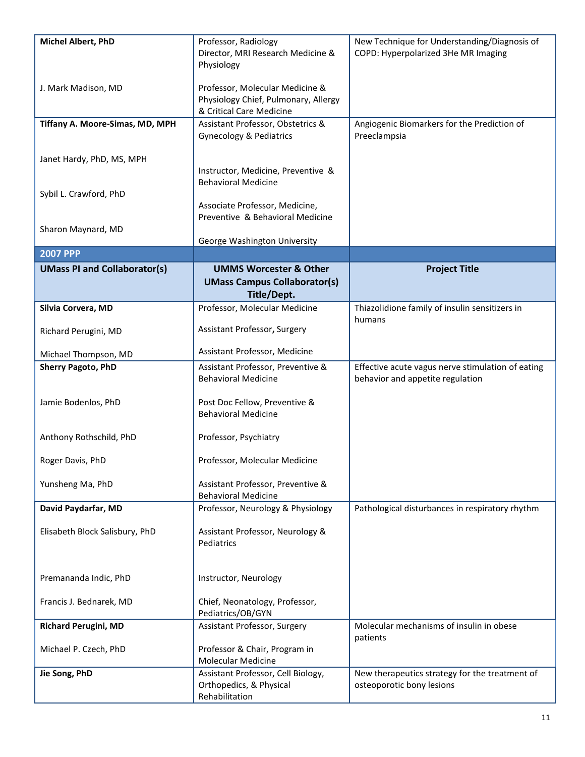| Michel Albert, PhD                  | Professor, Radiology<br>Director, MRI Research Medicine &<br>Physiology                             | New Technique for Understanding/Diagnosis of<br>COPD: Hyperpolarized 3He MR Imaging   |
|-------------------------------------|-----------------------------------------------------------------------------------------------------|---------------------------------------------------------------------------------------|
| J. Mark Madison, MD                 | Professor, Molecular Medicine &<br>Physiology Chief, Pulmonary, Allergy<br>& Critical Care Medicine |                                                                                       |
| Tiffany A. Moore-Simas, MD, MPH     | Assistant Professor, Obstetrics &<br>Gynecology & Pediatrics                                        | Angiogenic Biomarkers for the Prediction of<br>Preeclampsia                           |
| Janet Hardy, PhD, MS, MPH           | Instructor, Medicine, Preventive &<br><b>Behavioral Medicine</b>                                    |                                                                                       |
| Sybil L. Crawford, PhD              | Associate Professor, Medicine,<br>Preventive & Behavioral Medicine                                  |                                                                                       |
| Sharon Maynard, MD                  | George Washington University                                                                        |                                                                                       |
| <b>2007 PPP</b>                     |                                                                                                     |                                                                                       |
| <b>UMass PI and Collaborator(s)</b> | <b>UMMS Worcester &amp; Other</b><br><b>UMass Campus Collaborator(s)</b><br>Title/Dept.             | <b>Project Title</b>                                                                  |
| Silvia Corvera, MD                  | Professor, Molecular Medicine                                                                       | Thiazolidione family of insulin sensitizers in<br>humans                              |
| Richard Perugini, MD                | Assistant Professor, Surgery                                                                        |                                                                                       |
| Michael Thompson, MD                | Assistant Professor, Medicine                                                                       |                                                                                       |
| <b>Sherry Pagoto, PhD</b>           | Assistant Professor, Preventive &<br><b>Behavioral Medicine</b>                                     | Effective acute vagus nerve stimulation of eating<br>behavior and appetite regulation |
| Jamie Bodenlos, PhD                 | Post Doc Fellow, Preventive &<br><b>Behavioral Medicine</b>                                         |                                                                                       |
| Anthony Rothschild, PhD             | Professor, Psychiatry                                                                               |                                                                                       |
| Roger Davis, PhD                    | Professor, Molecular Medicine                                                                       |                                                                                       |
| Yunsheng Ma, PhD                    | Assistant Professor, Preventive &<br><b>Behavioral Medicine</b>                                     |                                                                                       |
| David Paydarfar, MD                 | Professor, Neurology & Physiology                                                                   | Pathological disturbances in respiratory rhythm                                       |
| Elisabeth Block Salisbury, PhD      | Assistant Professor, Neurology &<br>Pediatrics                                                      |                                                                                       |
| Premananda Indic, PhD               | Instructor, Neurology                                                                               |                                                                                       |
| Francis J. Bednarek, MD             | Chief, Neonatology, Professor,<br>Pediatrics/OB/GYN                                                 |                                                                                       |
| <b>Richard Perugini, MD</b>         | Assistant Professor, Surgery                                                                        | Molecular mechanisms of insulin in obese<br>patients                                  |
| Michael P. Czech, PhD               | Professor & Chair, Program in<br>Molecular Medicine                                                 |                                                                                       |
| Jie Song, PhD                       | Assistant Professor, Cell Biology,<br>Orthopedics, & Physical<br>Rehabilitation                     | New therapeutics strategy for the treatment of<br>osteoporotic bony lesions           |